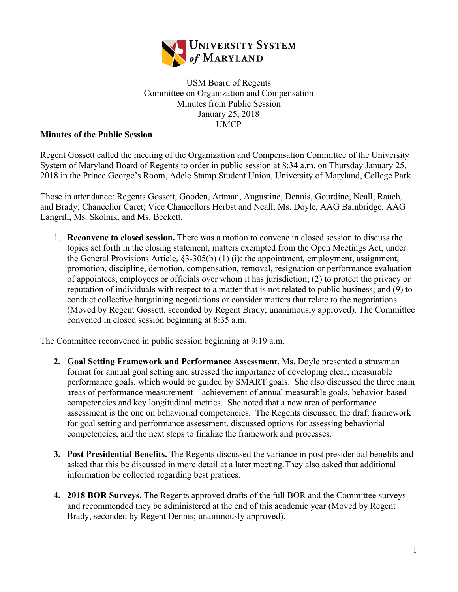

USM Board of Regents Committee on Organization and Compensation Minutes from Public Session January 25, 2018 UMCP

## **Minutes of the Public Session**

Regent Gossett called the meeting of the Organization and Compensation Committee of the University System of Maryland Board of Regents to order in public session at 8:34 a.m. on Thursday January 25, 2018 in the Prince George's Room, Adele Stamp Student Union, University of Maryland, College Park.

Those in attendance: Regents Gossett, Gooden, Attman, Augustine, Dennis, Gourdine, Neall, Rauch, and Brady; Chancellor Caret; Vice Chancellors Herbst and Neall; Ms. Doyle, AAG Bainbridge, AAG Langrill, Ms. Skolnik, and Ms. Beckett.

1. **Reconvene to closed session.** There was a motion to convene in closed session to discuss the topics set forth in the closing statement, matters exempted from the Open Meetings Act, under the General Provisions Article, §3-305(b) (1) (i): the appointment, employment, assignment, promotion, discipline, demotion, compensation, removal, resignation or performance evaluation of appointees, employees or officials over whom it has jurisdiction; (2) to protect the privacy or reputation of individuals with respect to a matter that is not related to public business; and (9) to conduct collective bargaining negotiations or consider matters that relate to the negotiations. (Moved by Regent Gossett, seconded by Regent Brady; unanimously approved). The Committee convened in closed session beginning at 8:35 a.m.

The Committee reconvened in public session beginning at 9:19 a.m.

- **2. Goal Setting Framework and Performance Assessment.** Ms. Doyle presented a strawman format for annual goal setting and stressed the importance of developing clear, measurable performance goals, which would be guided by SMART goals. She also discussed the three main areas of performance measurement – achievement of annual measurable goals, behavior-based competencies and key longitudinal metrics. She noted that a new area of performance assessment is the one on behaviorial competencies. The Regents discussed the draft framework for goal setting and performance assessment, discussed options for assessing behaviorial competencies, and the next steps to finalize the framework and processes.
- **3. Post Presidential Benefits.** The Regents discussed the variance in post presidential benefits and asked that this be discussed in more detail at a later meeting.They also asked that additional information be collected regarding best pratices.
- **4. 2018 BOR Surveys.** The Regents approved drafts of the full BOR and the Committee surveys and recommended they be administered at the end of this academic year (Moved by Regent Brady, seconded by Regent Dennis; unanimously approved).